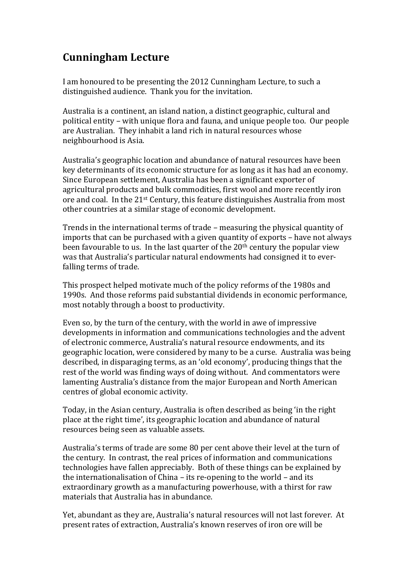# **Cunningham)Lecture**

I am honoured to be presenting the 2012 Cunningham Lecture, to such a distinguished audience. Thank you for the invitation.

Australia is a continent, an island nation, a distinct geographic, cultural and political entity – with unique flora and fauna, and unique people too. Our people are Australian. They inhabit a land rich in natural resources whose neighbourhood is Asia.

Australia's geographic location and abundance of natural resources have been key determinants of its economic structure for as long as it has had an economy. Since European settlement, Australia has been a significant exporter of agricultural products and bulk commodities, first wool and more recently iron ore and coal. In the  $21^{st}$  Century, this feature distinguishes Australia from most other countries at a similar stage of economic development.

Trends in the international terms of trade – measuring the physical quantity of imports that can be purchased with a given quantity of exports – have not always" been favourable to us. In the last quarter of the  $20<sup>th</sup>$  century the popular view was that Australia's particular natural endowments had consigned it to everfalling terms of trade.

This prospect helped motivate much of the policy reforms of the 1980s and 1990s. And those reforms paid substantial dividends in economic performance, most notably through a boost to productivity.

Even so, by the turn of the century, with the world in awe of impressive developments in information and communications technologies and the advent of electronic commerce, Australia's natural resource endowments, and its geographic location, were considered by many to be a curse. Australia was being described, in disparaging terms, as an 'old economy', producing things that the rest of the world was finding ways of doing without. And commentators were lamenting Australia's distance from the major European and North American centres of global economic activity.

Today, in the Asian century, Australia is often described as being 'in the right" place at the right time', its geographic location and abundance of natural resources being seen as valuable assets.

Australia's terms of trade are some 80 per cent above their level at the turn of the century. In contrast, the real prices of information and communications technologies have fallen appreciably. Both of these things can be explained by the internationalisation of China – its re-opening to the world – and its extraordinary growth as a manufacturing powerhouse, with a thirst for raw materials that Australia has in abundance.

Yet, abundant as they are, Australia's natural resources will not last forever. At present rates of extraction, Australia's known reserves of iron ore will be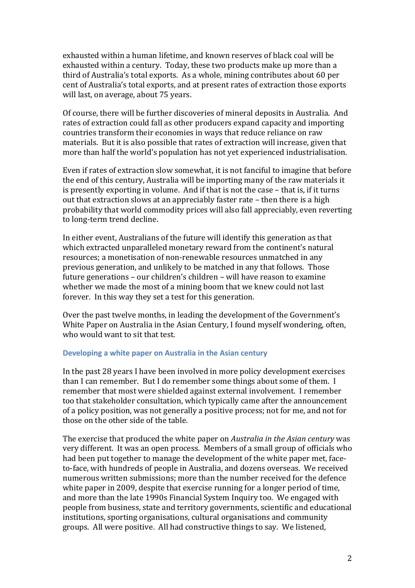exhausted within a human lifetime, and known reserves of black coal will be exhausted within a century. Today, these two products make up more than a third of Australia's total exports. As a whole, mining contributes about 60 per cent of Australia's total exports, and at present rates of extraction those exports will last, on average, about 75 years.

Of course, there will be further discoveries of mineral deposits in Australia. And rates of extraction could fall as other producers expand capacity and importing countries transform their economies in ways that reduce reliance on raw materials. But it is also possible that rates of extraction will increase, given that more than half the world's population has not yet experienced industrialisation.

Even if rates of extraction slow somewhat, it is not fanciful to imagine that before the end of this century, Australia will be importing many of the raw materials it is presently exporting in volume. And if that is not the case – that is, if it turns out that extraction slows at an appreciably faster rate – then there is a high probability that world commodity prices will also fall appreciably, even reverting to long-term trend decline.

In either event, Australians of the future will identify this generation as that which extracted unparalleled monetary reward from the continent's natural resources; a monetisation of non-renewable resources unmatched in any previous generation, and unlikely to be matched in any that follows. Those future generations – our children's children – will have reason to examine whether we made the most of a mining boom that we knew could not last forever. In this way they set a test for this generation.

Over the past twelve months, in leading the development of the Government's White Paper on Australia in the Asian Century, I found myself wondering, often, who would want to sit that test.

## Developing a white paper on Australia in the Asian century

In the past 28 years I have been involved in more policy development exercises than I can remember. But I do remember some things about some of them. I remember that most were shielded against external involvement. I remember too that stakeholder consultation, which typically came after the announcement of a policy position, was not generally a positive process; not for me, and not for those on the other side of the table.

The exercise that produced the white paper on *Australia in the Asian century* was very different. It was an open process. Members of a small group of officials who had been put together to manage the development of the white paper met, faceto-face, with hundreds of people in Australia, and dozens overseas. We received numerous written submissions; more than the number received for the defence white paper in 2009, despite that exercise running for a longer period of time, and more than the late 1990s Financial System Inquiry too. We engaged with people from business, state and territory governments, scientific and educational institutions, sporting organisations, cultural organisations and community groups. All were positive. All had constructive things to say. We listened,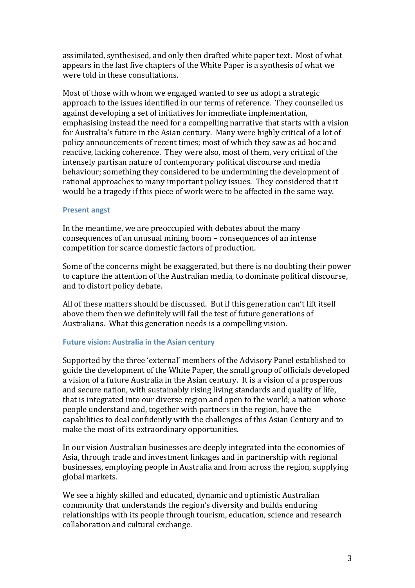assimilated, synthesised, and only then drafted white paper text. Most of what appears in the last five chapters of the White Paper is a synthesis of what we were told in these consultations.

Most of those with whom we engaged wanted to see us adopt a strategic approach to the issues identified in our terms of reference. They counselled us against developing a set of initiatives for immediate implementation, emphasising instead the need for a compelling narrative that starts with a vision for Australia's future in the Asian century. Many were highly critical of a lot of policy announcements of recent times; most of which they saw as ad hoc and reactive, lacking coherence. They were also, most of them, very critical of the intensely partisan nature of contemporary political discourse and media behaviour; something they considered to be undermining the development of rational approaches to many important policy issues. They considered that it would be a tragedy if this piece of work were to be affected in the same way.

#### **Present angst**

In the meantime, we are preoccupied with debates about the many consequences of an unusual mining boom – consequences of an intense competition for scarce domestic factors of production.

Some of the concerns might be exaggerated, but there is no doubting their power to capture the attention of the Australian media, to dominate political discourse, and to distort policy debate.

All of these matters should be discussed. But if this generation can't lift itself above them then we definitely will fail the test of future generations of Australians. What this generation needs is a compelling vision.

#### **Future vision: Australia in the Asian century**

Supported by the three 'external' members of the Advisory Panel established to guide the development of the White Paper, the small group of officials developed a vision of a future Australia in the Asian century. It is a vision of a prosperous and secure nation, with sustainably rising living standards and quality of life, that is integrated into our diverse region and open to the world; a nation whose people understand and, together with partners in the region, have the capabilities to deal confidently with the challenges of this Asian Century and to make the most of its extraordinary opportunities.

In our vision Australian businesses are deeply integrated into the economies of Asia, through trade and investment linkages and in partnership with regional businesses, employing people in Australia and from across the region, supplying global markets.

We see a highly skilled and educated, dynamic and optimistic Australian community that understands the region's diversity and builds enduring relationships with its people through tourism, education, science and research collaboration and cultural exchange.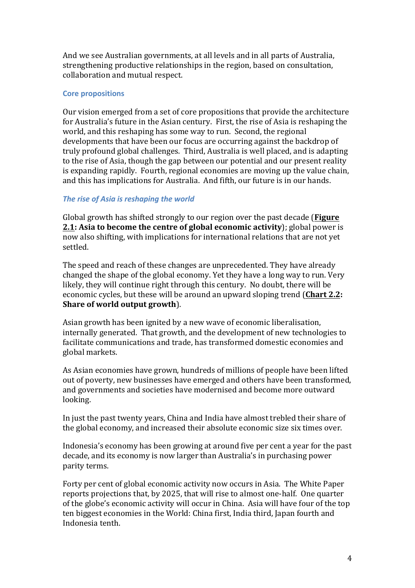And we see Australian governments, at all levels and in all parts of Australia, strengthening productive relationships in the region, based on consultation, collaboration and mutual respect.

#### **Core propositions**

Our vision emerged from a set of core propositions that provide the architecture for Australia's future in the Asian century. First, the rise of Asia is reshaping the world, and this reshaping has some way to run. Second, the regional developments that have been our focus are occurring against the backdrop of truly profound global challenges. Third, Australia is well placed, and is adapting to the rise of Asia, though the gap between our potential and our present reality is expanding rapidly. Fourth, regional economies are moving up the value chain, and this has implications for Australia. And fifth, our future is in our hands.

#### **The rise of Asia is reshaping the world**

Global growth has shifted strongly to our region over the past decade (**Figure**) **2.1:** Asia to become the centre of global economic activity); global power is now also shifting, with implications for international relations that are not vet settled.

The speed and reach of these changes are unprecedented. They have already changed the shape of the global economy. Yet they have a long way to run. Very likely, they will continue right through this century. No doubt, there will be economic cycles, but these will be around an upward sloping trend (**Chart 2.2:**) **Share of world output growth**).

Asian growth has been ignited by a new wave of economic liberalisation, internally generated. That growth, and the development of new technologies to facilitate communications and trade, has transformed domestic economies and global markets.

As Asian economies have grown, hundreds of millions of people have been lifted out of poverty, new businesses have emerged and others have been transformed, and governments and societies have modernised and become more outward looking.

In just the past twenty years, China and India have almost trebled their share of the global economy, and increased their absolute economic size six times over.

Indonesia's economy has been growing at around five per cent a year for the past decade, and its economy is now larger than Australia's in purchasing power parity terms.

Forty per cent of global economic activity now occurs in Asia. The White Paper reports projections that, by 2025, that will rise to almost one-half. One quarter of the globe's economic activity will occur in China. Asia will have four of the top ten biggest economies in the World: China first, India third, Japan fourth and Indonesia tenth.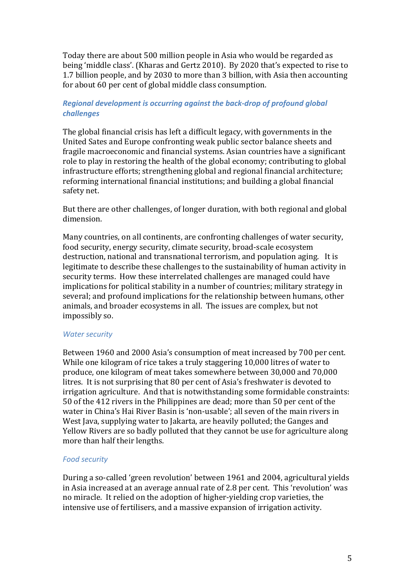Today there are about 500 million people in Asia who would be regarded as being 'middle class'. (Kharas and Gertz 2010). By 2020 that's expected to rise to 1.7 billion people, and by 2030 to more than 3 billion, with Asia then accounting for about 60 per cent of global middle class consumption.

# **Regional development is occurring against the back-drop of profound global** *challenges\$*

The global financial crisis has left a difficult legacy, with governments in the United Sates and Europe confronting weak public sector balance sheets and fragile macroeconomic and financial systems. Asian countries have a significant role to play in restoring the health of the global economy; contributing to global infrastructure efforts; strengthening global and regional financial architecture; reforming international financial institutions; and building a global financial safety net.

But there are other challenges, of longer duration, with both regional and global dimension.

Many countries, on all continents, are confronting challenges of water security, food security, energy security, climate security, broad-scale ecosystem destruction, national and transnational terrorism, and population aging. It is legitimate to describe these challenges to the sustainability of human activity in security terms. How these interrelated challenges are managed could have implications for political stability in a number of countries; military strategy in several; and profound implications for the relationship between humans, other animals, and broader ecosystems in all. The issues are complex, but not impossibly so.

#### **Water security**

Between 1960 and 2000 Asia's consumption of meat increased by 700 per cent. While one kilogram of rice takes a truly staggering 10,000 litres of water to produce, one kilogram of meat takes somewhere between 30,000 and 70,000 litres. It is not surprising that 80 per cent of Asia's freshwater is devoted to irrigation agriculture. And that is notwithstanding some formidable constraints: 50 of the 412 rivers in the Philippines are dead; more than 50 per cent of the water in China's Hai River Basin is 'non-usable'; all seven of the main rivers in West Java, supplying water to Jakarta, are heavily polluted; the Ganges and Yellow Rivers are so badly polluted that they cannot be use for agriculture along more than half their lengths.

## *Food security*

During a so-called 'green revolution' between 1961 and 2004, agricultural yields in Asia increased at an average annual rate of 2.8 per cent. This 'revolution' was no miracle. It relied on the adoption of higher-yielding crop varieties, the intensive use of fertilisers, and a massive expansion of irrigation activity.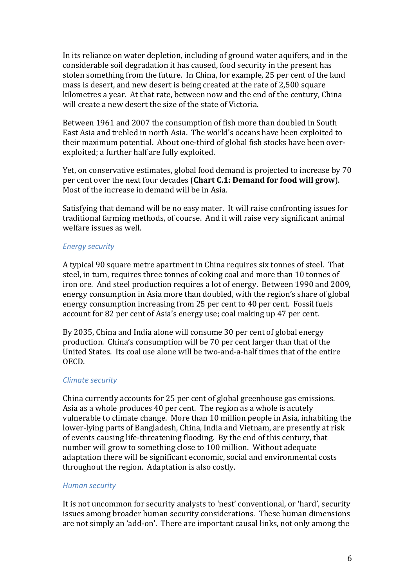In its reliance on water depletion, including of ground water aquifers, and in the considerable soil degradation it has caused, food security in the present has stolen something from the future. In China, for example, 25 per cent of the land mass is desert, and new desert is being created at the rate of 2,500 square kilometres a year. At that rate, between now and the end of the century, China" will create a new desert the size of the state of Victoria.

Between 1961 and 2007 the consumption of fish more than doubled in South East Asia and trebled in north Asia. The world's oceans have been exploited to their maximum potential. About one-third of global fish stocks have been overexploited; a further half are fully exploited.

Yet, on conservative estimates, global food demand is projected to increase by 70 per cent over the next four decades (**Chart C.1: Demand for food will grow**). Most of the increase in demand will be in Asia.

Satisfying that demand will be no easy mater. It will raise confronting issues for traditional farming methods, of course. And it will raise very significant animal welfare issues as well.

## *Energy security*

A typical 90 square metre apartment in China requires six tonnes of steel. That steel, in turn, requires three tonnes of coking coal and more than 10 tonnes of iron ore. And steel production requires a lot of energy. Between 1990 and 2009, energy consumption in Asia more than doubled, with the region's share of global energy consumption increasing from 25 per cent to 40 per cent. Fossil fuels account for 82 per cent of Asia's energy use; coal making up 47 per cent.

By 2035, China and India alone will consume 30 per cent of global energy production. China's consumption will be 70 per cent larger than that of the United States. Its coal use alone will be two-and-a-half times that of the entire OECD.

## *Climate security*

China currently accounts for 25 per cent of global greenhouse gas emissions. Asia as a whole produces 40 per cent. The region as a whole is acutely vulnerable to climate change. More than 10 million people in Asia, inhabiting the lower-lying parts of Bangladesh, China, India and Vietnam, are presently at risk of events causing life-threatening flooding. By the end of this century, that number will grow to something close to 100 million. Without adequate adaptation there will be significant economic, social and environmental costs throughout the region. Adaptation is also costly.

## *Human&security*

It is not uncommon for security analysts to 'nest' conventional, or 'hard', security issues among broader human security considerations. These human dimensions are not simply an 'add-on'. There are important causal links, not only among the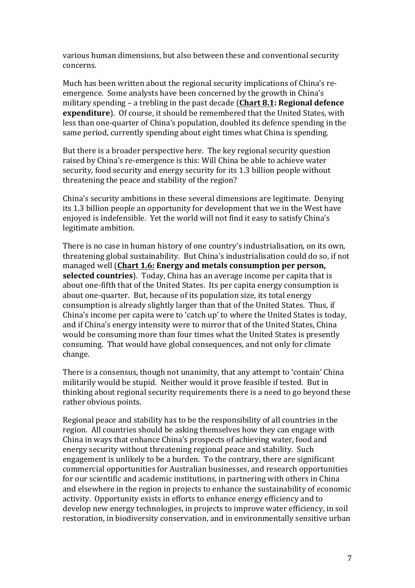various human dimensions, but also between these and conventional security concerns.

Much has been written about the regional security implications of China's reemergence. Some analysts have been concerned by the growth in China's military spending – a trebling in the past decade (**Chart 8.1: Regional defence**) **expenditure**). Of course, it should be remembered that the United States, with less than one-quarter of China's population, doubled its defence spending in the same period, currently spending about eight times what China is spending.

But there is a broader perspective here. The key regional security question raised by China's re-emergence is this: Will China be able to achieve water security, food security and energy security for its 1.3 billion people without threatening the peace and stability of the region?

China's security ambitions in these several dimensions are legitimate. Denying its 1.3 billion people an opportunity for development that we in the West have enjoyed is indefensible. Yet the world will not find it easy to satisfy China's legitimate ambition.

There is no case in human history of one country's industrialisation, on its own, threatening global sustainability. But China's industrialisation could do so, if not managed well (**Chart 1.6: Energy and metals consumption per person, selected countries**). Today, China has an average income per capita that is about one-fifth that of the United States. Its per capita energy consumption is about one-quarter. But, because of its population size, its total energy consumption is already slightly larger than that of the United States. Thus, if China's income per capita were to 'catch up' to where the United States is today, and if China's energy intensity were to mirror that of the United States, China" would be consuming more than four times what the United States is presently consuming. That would have global consequences, and not only for climate change.

There is a consensus, though not unanimity, that any attempt to 'contain' China" militarily would be stupid. Neither would it prove feasible if tested. But in thinking about regional security requirements there is a need to go beyond these rather obvious points.

Regional peace and stability has to be the responsibility of all countries in the region. All countries should be asking themselves how they can engage with China in ways that enhance China's prospects of achieving water, food and energy security without threatening regional peace and stability. Such engagement is unlikely to be a burden. To the contrary, there are significant commercial opportunities for Australian businesses, and research opportunities for our scientific and academic institutions, in partnering with others in China" and elsewhere in the region in projects to enhance the sustainability of economic activity. Opportunity exists in efforts to enhance energy efficiency and to develop new energy technologies, in projects to improve water efficiency, in soil restoration, in biodiversity conservation, and in environmentally sensitive urban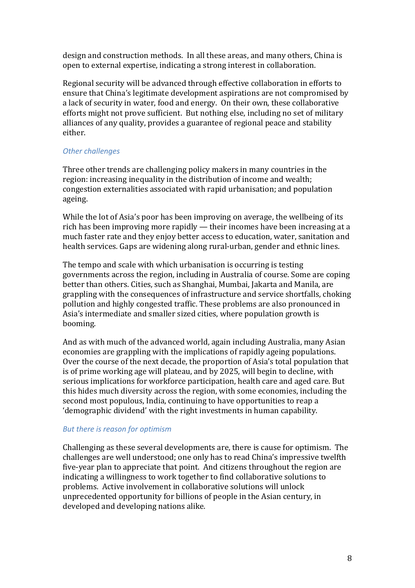design and construction methods. In all these areas, and many others, China is open to external expertise, indicating a strong interest in collaboration.

Regional security will be advanced through effective collaboration in efforts to ensure that China's legitimate development aspirations are not compromised by a lack of security in water, food and energy. On their own, these collaborative efforts might not prove sufficient. But nothing else, including no set of military alliances of any quality, provides a guarantee of regional peace and stability either.

# **Other challenges**

Three other trends are challenging policy makers in many countries in the region: increasing inequality in the distribution of income and wealth; congestion externalities associated with rapid urbanisation; and population ageing.

While the lot of Asia's poor has been improving on average, the wellbeing of its" rich has been improving more rapidly — their incomes have been increasing at a much faster rate and they enjoy better access to education, water, sanitation and health services. Gaps are widening along rural-urban, gender and ethnic lines.

The tempo and scale with which urbanisation is occurring is testing governments across the region, including in Australia of course. Some are coping better than others. Cities, such as Shanghai, Mumbai, Jakarta and Manila, are grappling with the consequences of infrastructure and service shortfalls, choking pollution and highly congested traffic. These problems are also pronounced in Asia's intermediate and smaller sized cities, where population growth is booming.

And as with much of the advanced world, again including Australia, many Asian economies are grappling with the implications of rapidly ageing populations. Over the course of the next decade, the proportion of Asia's total population that is of prime working age will plateau, and by 2025, will begin to decline, with serious implications for workforce participation, health care and aged care. But this hides much diversity across the region, with some economies, including the second most populous, India, continuing to have opportunities to reap a 'demographic dividend' with the right investments in human capability.

# **But there is reason for optimism**

Challenging as these several developments are, there is cause for optimism. The challenges are well understood; one only has to read China's impressive twelfth five-year plan to appreciate that point. And citizens throughout the region are indicating a willingness to work together to find collaborative solutions to problems. Active involvement in collaborative solutions will unlock unprecedented opportunity for billions of people in the Asian century, in developed and developing nations alike.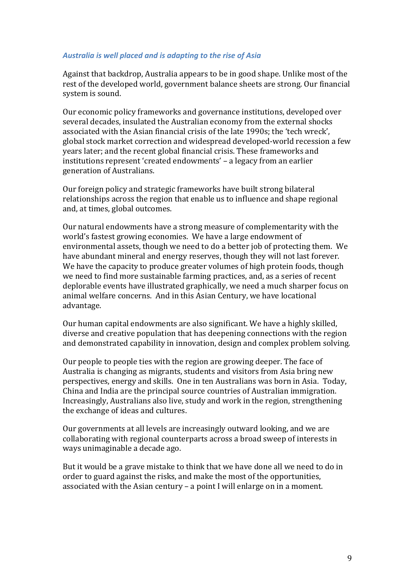## *Australia\$is\$well\$placed and\$is\$adapting\$to\$the\$rise\$of\$Asia*

Against that backdrop, Australia appears to be in good shape. Unlike most of the rest of the developed world, government balance sheets are strong. Our financial system is sound.

Our economic policy frameworks and governance institutions, developed over several decades, insulated the Australian economy from the external shocks associated with the Asian financial crisis of the late 1990s; the 'tech wreck', global stock market correction and widespread developed-world recession a few years later; and the recent global financial crisis. These frameworks and institutions represent 'created endowments' – a legacy from an earlier generation of Australians.

Our foreign policy and strategic frameworks have built strong bilateral relationships across the region that enable us to influence and shape regional and, at times, global outcomes.

Our natural endowments have a strong measure of complementarity with the world's fastest growing economies. We have a large endowment of environmental assets, though we need to do a better job of protecting them. We have abundant mineral and energy reserves, though they will not last forever. We have the capacity to produce greater volumes of high protein foods, though we need to find more sustainable farming practices, and, as a series of recent deplorable events have illustrated graphically, we need a much sharper focus on animal welfare concerns. And in this Asian Century, we have locational advantage."

Our human capital endowments are also significant. We have a highly skilled, diverse and creative population that has deepening connections with the region and demonstrated capability in innovation, design and complex problem solving.

Our people to people ties with the region are growing deeper. The face of Australia is changing as migrants, students and visitors from Asia bring new perspectives, energy and skills. One in ten Australians was born in Asia. Today, China and India are the principal source countries of Australian immigration. Increasingly, Australians also live, study and work in the region, strengthening the exchange of ideas and cultures.

Our governments at all levels are increasingly outward looking, and we are collaborating with regional counterparts across a broad sweep of interests in ways unimaginable a decade ago.

But it would be a grave mistake to think that we have done all we need to do in order to guard against the risks, and make the most of the opportunities, associated with the Asian century – a point I will enlarge on in a moment.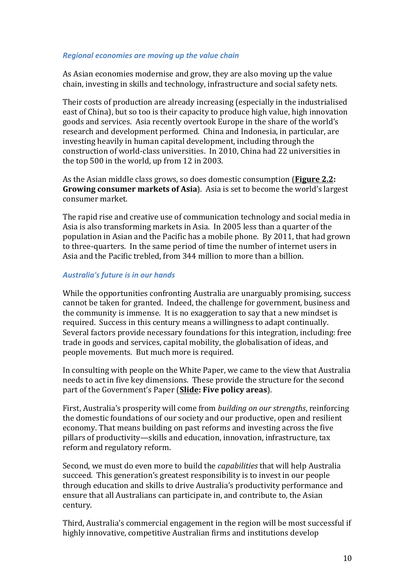## *Regional economies are moving up the value chain*

As Asian economies modernise and grow, they are also moving up the value chain, investing in skills and technology, infrastructure and social safety nets.

Their costs of production are already increasing (especially in the industrialised east of China), but so too is their capacity to produce high value, high innovation goods and services. Asia recently overtook Europe in the share of the world's research and development performed. China and Indonesia, in particular, are investing heavily in human capital development, including through the construction of world-class universities. In 2010, China had 22 universities in the top  $500$  in the world, up from  $12$  in 2003.

As the Asian middle class grows, so does domestic consumption (**Figure 2.2**: **Growing consumer markets of Asia**). Asia is set to become the world's largest consumer market.

The rapid rise and creative use of communication technology and social media in Asia is also transforming markets in Asia. In 2005 less than a quarter of the population in Asian and the Pacific has a mobile phone. By 2011, that had grown to three-quarters. In the same period of time the number of internet users in Asia and the Pacific trebled, from 344 million to more than a billion.

#### Australia's future is in our hands

While the opportunities confronting Australia are unarguably promising, success cannot be taken for granted. Indeed, the challenge for government, business and the community is immense. It is no exaggeration to say that a new mindset is required. Success in this century means a willingness to adapt continually. Several factors provide necessary foundations for this integration, including: free trade in goods and services, capital mobility, the globalisation of ideas, and people movements. But much more is required.

In consulting with people on the White Paper, we came to the view that Australia needs to act in five key dimensions. These provide the structure for the second part of the Government's Paper (**Slide: Five policy areas**).

First, Australia's prosperity will come from *building on our strengths*, reinforcing the domestic foundations of our society and our productive, open and resilient economy. That means building on past reforms and investing across the five pillars of productivity—skills and education, innovation, infrastructure, tax reform and regulatory reform.

Second, we must do even more to build the *capabilities* that will help Australia succeed. This generation's greatest responsibility is to invest in our people through education and skills to drive Australia's productivity performance and ensure that all Australians can participate in, and contribute to, the Asian century.

Third, Australia's commercial engagement in the region will be most successful if highly innovative, competitive Australian firms and institutions develop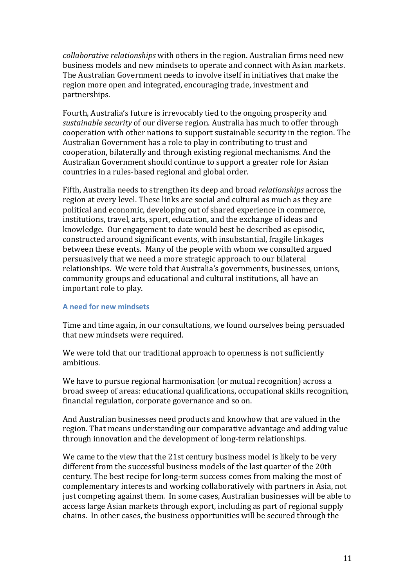*collaborative relationships* with others in the region. Australian firms need new business models and new mindsets to operate and connect with Asian markets. The Australian Government needs to involve itself in initiatives that make the region more open and integrated, encouraging trade, investment and partnerships.

Fourth, Australia's future is irrevocably tied to the ongoing prosperity and sustainable security of our diverse region. Australia has much to offer through cooperation with other nations to support sustainable security in the region. The Australian Government has a role to play in contributing to trust and cooperation, bilaterally and through existing regional mechanisms. And the Australian Government should continue to support a greater role for Asian countries in a rules-based regional and global order.

Fifth, Australia needs to strengthen its deep and broad *relationships* across the region at every level. These links are social and cultural as much as they are political and economic, developing out of shared experience in commerce, institutions, travel, arts, sport, education, and the exchange of ideas and knowledge. Our engagement to date would best be described as episodic. constructed around significant events, with insubstantial, fragile linkages between these events. Many of the people with whom we consulted argued persuasively that we need a more strategic approach to our bilateral relationships. We were told that Australia's governments, businesses, unions, community groups and educational and cultural institutions, all have an important role to play.

## **A** need for new mindsets

Time and time again, in our consultations, we found ourselves being persuaded that new mindsets were required.

We were told that our traditional approach to openness is not sufficiently ambitious.

We have to pursue regional harmonisation (or mutual recognition) across a broad sweep of areas: educational qualifications, occupational skills recognition, financial regulation, corporate governance and so on.

And Australian businesses need products and knowhow that are valued in the region. That means understanding our comparative advantage and adding value through innovation and the development of long-term relationships.

We came to the view that the 21st century business model is likely to be very different from the successful business models of the last quarter of the 20th century. The best recipe for long-term success comes from making the most of complementary interests and working collaboratively with partners in Asia, not just competing against them. In some cases, Australian businesses will be able to access large Asian markets through export, including as part of regional supply chains. In other cases, the business opportunities will be secured through the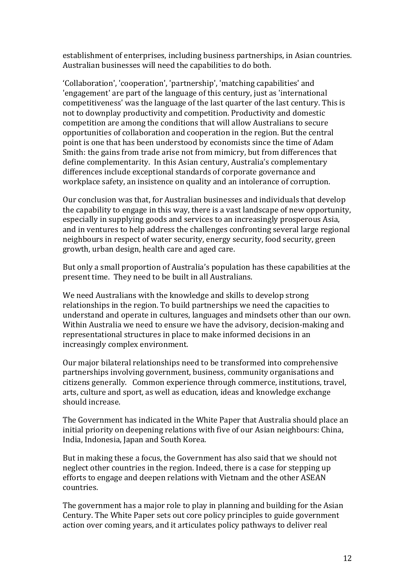establishment of enterprises, including business partnerships, in Asian countries. Australian businesses will need the capabilities to do both.

'Collaboration', 'cooperation', 'partnership', 'matching capabilities' and 'engagement' are part of the language of this century, just as 'international competitiveness' was the language of the last quarter of the last century. This is not to downplay productivity and competition. Productivity and domestic competition are among the conditions that will allow Australians to secure opportunities of collaboration and cooperation in the region. But the central point is one that has been understood by economists since the time of Adam Smith: the gains from trade arise not from mimicry, but from differences that define complementarity. In this Asian century, Australia's complementary differences include exceptional standards of corporate governance and workplace safety, an insistence on quality and an intolerance of corruption.

Our conclusion was that, for Australian businesses and individuals that develop the capability to engage in this way, there is a vast landscape of new opportunity, especially in supplying goods and services to an increasingly prosperous Asia, and in ventures to help address the challenges confronting several large regional neighbours in respect of water security, energy security, food security, green growth, urban design, health care and aged care.

But only a small proportion of Australia's population has these capabilities at the present time. They need to be built in all Australians.

We need Australians with the knowledge and skills to develop strong relationships in the region. To build partnerships we need the capacities to understand and operate in cultures, languages and mindsets other than our own. Within Australia we need to ensure we have the advisory, decision-making and representational structures in place to make informed decisions in an increasingly complex environment.

Our major bilateral relationships need to be transformed into comprehensive partnerships involving government, business, community organisations and citizens generally. "Common experience through commerce, institutions, travel," arts, culture and sport, as well as education, ideas and knowledge exchange should increase.

The Government has indicated in the White Paper that Australia should place an initial priority on deepening relations with five of our Asian neighbours: China, India, Indonesia, Japan and South Korea.

But in making these a focus, the Government has also said that we should not neglect other countries in the region. Indeed, there is a case for stepping up efforts to engage and deepen relations with Vietnam and the other ASEAN countries.

The government has a major role to play in planning and building for the Asian Century. The White Paper sets out core policy principles to guide government action over coming years, and it articulates policy pathways to deliver real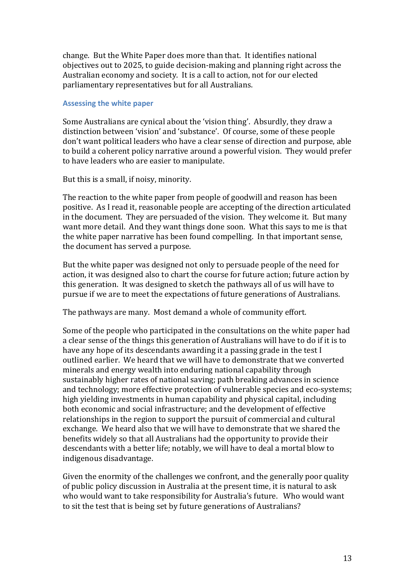change. But the White Paper does more than that. It identifies national objectives out to 2025, to guide decision-making and planning right across the Australian economy and society. It is a call to action, not for our elected parliamentary representatives but for all Australians.

#### **Assessing the white paper**

Some Australians are cynical about the 'vision thing'. Absurdly, they draw a distinction between 'vision' and 'substance'. Of course, some of these people don't want political leaders who have a clear sense of direction and purpose, able to build a coherent policy narrative around a powerful vision. They would prefer to have leaders who are easier to manipulate.

But this is a small, if noisy, minority.

The reaction to the white paper from people of goodwill and reason has been positive. As I read it, reasonable people are accepting of the direction articulated in the document. They are persuaded of the vision. They welcome it. But many want more detail. And they want things done soon. What this says to me is that the white paper narrative has been found compelling. In that important sense, the document has served a purpose.

But the white paper was designed not only to persuade people of the need for action, it was designed also to chart the course for future action; future action by this generation. It was designed to sketch the pathways all of us will have to pursue if we are to meet the expectations of future generations of Australians.

The pathways are many. Most demand a whole of community effort.

Some of the people who participated in the consultations on the white paper had a clear sense of the things this generation of Australians will have to do if it is to have any hope of its descendants awarding it a passing grade in the test I outlined earlier. We heard that we will have to demonstrate that we converted minerals and energy wealth into enduring national capability through sustainably higher rates of national saving; path breaking advances in science and technology; more effective protection of vulnerable species and eco-systems; high yielding investments in human capability and physical capital, including both economic and social infrastructure; and the development of effective relationships in the region to support the pursuit of commercial and cultural exchange. We heard also that we will have to demonstrate that we shared the benefits widely so that all Australians had the opportunity to provide their descendants with a better life; notably, we will have to deal a mortal blow to indigenous disadvantage.

Given the enormity of the challenges we confront, and the generally poor quality of public policy discussion in Australia at the present time, it is natural to ask who would want to take responsibility for Australia's future. Who would want to sit the test that is being set by future generations of Australians?